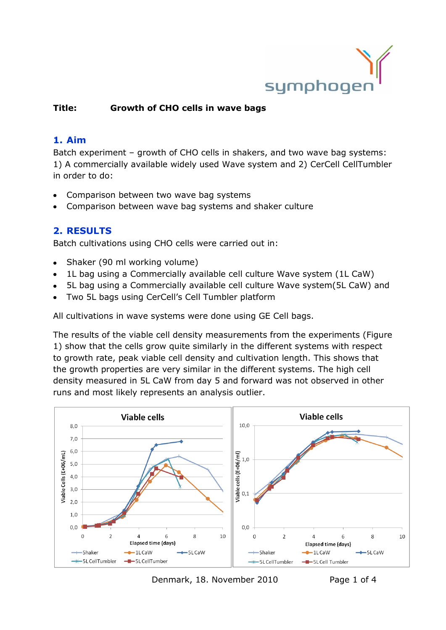

#### **Title: Growth of CHO cells in wave bags**

#### **1. Aim**

Batch experiment – growth of CHO cells in shakers, and two wave bag systems: 1) A commercially available widely used Wave system and 2) CerCell CellTumbler in order to do:

- Comparison between two wave bag systems
- Comparison between wave bag systems and shaker culture

#### **2. RESULTS**

Batch cultivations using CHO cells were carried out in:

- Shaker (90 ml working volume)
- 1L bag using a Commercially available cell culture Wave system (1L CaW)  $\bullet$
- 5L bag using a Commercially available cell culture Wave system(5L CaW) and
- Two 5L bags using CerCell's Cell Tumbler platform

All cultivations in wave systems were done using GE Cell bags.

The results of the viable cell density measurements from the experiments [\(Figure](#page-1-0)  [1\)](#page-1-0) show that the cells grow quite similarly in the different systems with respect to growth rate, peak viable cell density and cultivation length. This shows that the growth properties are very similar in the different systems. The high cell density measured in 5L CaW from day 5 and forward was not observed in other runs and most likely represents an analysis outlier.



Denmark, 18. November 2010 Page 1 of 4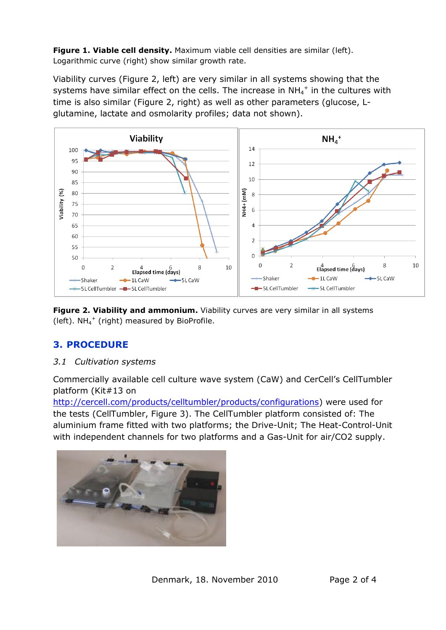<span id="page-1-0"></span>**Figure 1. Viable cell density.** Maximum viable cell densities are similar (left). Logarithmic curve (right) show similar growth rate.

Viability curves [\(Figure 2,](#page-1-1) left) are very similar in all systems showing that the systems have similar effect on the cells. The increase in NH<sub>4</sub><sup>+</sup> in the cultures with time is also similar [\(Figure 2,](#page-1-1) right) as well as other parameters (glucose, Lglutamine, lactate and osmolarity profiles; data not shown).



<span id="page-1-1"></span>**Figure 2. Viability and ammonium.** Viability curves are very similar in all systems (left).  $NH_4^+$  (right) measured by BioProfile.

# **3. PROCEDURE**

*3.1 Cultivation systems*

Commercially available cell culture wave system (CaW) and CerCell's CellTumbler platform (Kit#13 on

[http://cercell.com/products/celltumbler/products/configurations\)](http://cercell.com/products/celltumbler/products/configurations) were used for the tests (CellTumbler, [Figure 3\)](#page-2-0). The CellTumbler platform consisted of: The aluminium frame fitted with two platforms; the Drive-Unit; The Heat-Control-Unit with independent channels for two platforms and a Gas-Unit for air/CO2 supply.

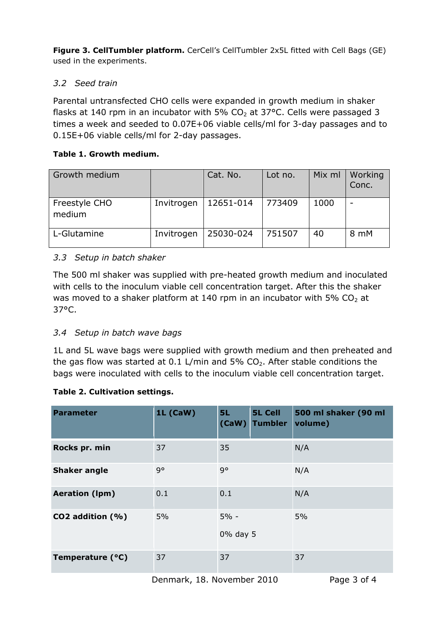<span id="page-2-0"></span>**Figure 3. CellTumbler platform.** CerCell's CellTumbler 2x5L fitted with Cell Bags (GE) used in the experiments.

## *3.2 Seed train*

Parental untransfected CHO cells were expanded in growth medium in shaker flasks at 140 rpm in an incubator with 5%  $CO<sub>2</sub>$  at 37°C. Cells were passaged 3 times a week and seeded to 0.07E+06 viable cells/ml for 3-day passages and to 0.15E+06 viable cells/ml for 2-day passages.

### **Table 1. Growth medium.**

| Growth medium           |            | Cat. No.  | Lot no. | Mix ml | Working<br>Conc.         |
|-------------------------|------------|-----------|---------|--------|--------------------------|
| Freestyle CHO<br>medium | Invitrogen | 12651-014 | 773409  | 1000   | $\overline{\phantom{0}}$ |
| L-Glutamine             | Invitrogen | 25030-024 | 751507  | 40     | 8 mM                     |

# *3.3 Setup in batch shaker*

The 500 ml shaker was supplied with pre-heated growth medium and inoculated with cells to the inoculum viable cell concentration target. After this the shaker was moved to a shaker platform at 140 rpm in an incubator with 5%  $CO<sub>2</sub>$  at 37°C.

# *3.4 Setup in batch wave bags*

1L and 5L wave bags were supplied with growth medium and then preheated and the gas flow was started at 0.1 L/min and 5%  $CO<sub>2</sub>$ . After stable conditions the bags were inoculated with cells to the inoculum viable cell concentration target.

### **Table 2. Cultivation settings.**

| <b>Parameter</b>      | 1L (CaW) | 5L                 | <b>5L Cell</b><br>(CaW) Tumbler | 500 ml shaker (90 ml<br>volume) |
|-----------------------|----------|--------------------|---------------------------------|---------------------------------|
| Rocks pr. min         | 37       | 35                 |                                 | N/A                             |
| <b>Shaker angle</b>   | q۰       | q۰                 |                                 | N/A                             |
| <b>Aeration (Ipm)</b> | 0.1      | 0.1                |                                 | N/A                             |
| CO2 addition (%)      | 5%       | $5% -$<br>0% day 5 |                                 | 5%                              |
| Temperature (°C)      | 37       | 37                 |                                 | 37                              |

Denmark, 18. November 2010 Page 3 of 4